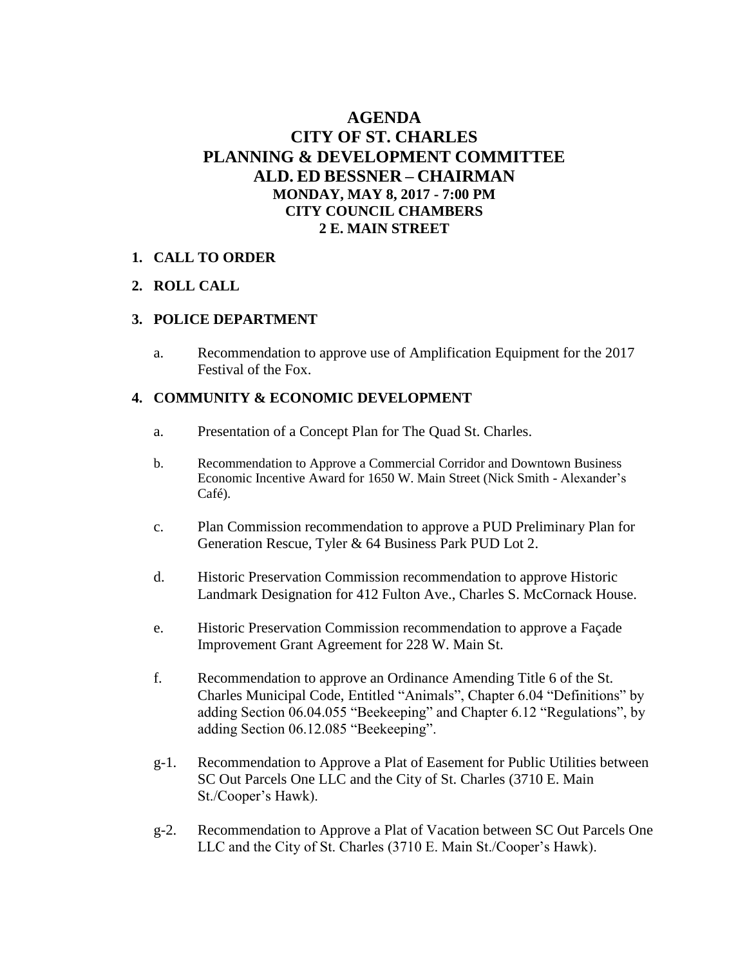# **AGENDA CITY OF ST. CHARLES PLANNING & DEVELOPMENT COMMITTEE ALD. ED BESSNER – CHAIRMAN MONDAY, MAY 8, 2017 - 7:00 PM CITY COUNCIL CHAMBERS 2 E. MAIN STREET**

#### **1. CALL TO ORDER**

#### **2. ROLL CALL**

#### **3. POLICE DEPARTMENT**

a. Recommendation to approve use of Amplification Equipment for the 2017 Festival of the Fox.

#### **4. COMMUNITY & ECONOMIC DEVELOPMENT**

- a. Presentation of a Concept Plan for The Quad St. Charles.
- b. Recommendation to Approve a Commercial Corridor and Downtown Business Economic Incentive Award for 1650 W. Main Street (Nick Smith - Alexander's Café).
- c. Plan Commission recommendation to approve a PUD Preliminary Plan for Generation Rescue, Tyler & 64 Business Park PUD Lot 2.
- d. Historic Preservation Commission recommendation to approve Historic Landmark Designation for 412 Fulton Ave., Charles S. McCornack House.
- e. Historic Preservation Commission recommendation to approve a Façade Improvement Grant Agreement for 228 W. Main St.
- f. Recommendation to approve an Ordinance Amending Title 6 of the St. Charles Municipal Code, Entitled "Animals", Chapter 6.04 "Definitions" by adding Section 06.04.055 "Beekeeping" and Chapter 6.12 "Regulations", by adding Section 06.12.085 "Beekeeping".
- g-1. Recommendation to Approve a Plat of Easement for Public Utilities between SC Out Parcels One LLC and the City of St. Charles (3710 E. Main St./Cooper's Hawk).
- g-2. Recommendation to Approve a Plat of Vacation between SC Out Parcels One LLC and the City of St. Charles (3710 E. Main St./Cooper's Hawk).